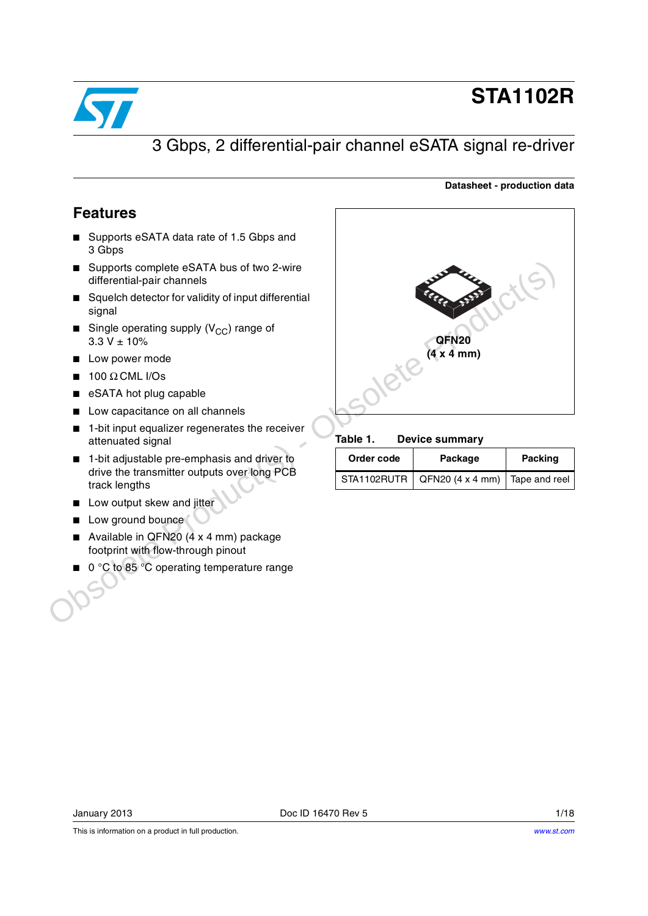

# **STA1102R**

**Datasheet - production data**

## 3 Gbps, 2 differential-pair channel eSATA signal re-driver

### <span id="page-0-0"></span>**Features**

- Supports eSATA data rate of 1.5 Gbps and 3 Gbps
- Supports complete eSATA bus of two 2-wire differential-pair channels
- Squelch detector for validity of input differential signal
- **■** Single operating supply  $(V_{CC})$  range of  $3.3 V \pm 10%$
- Low power mode
- $100$  Ω CML I/Os
- eSATA hot plug capable
- Low capacitance on all channels
- 1-bit input equalizer regenerates the receiver attenuated signal
- 1-bit adjustable pre-emphasis and driver to drive the transmitter outputs over long PCB track lengths
- Low output skew and jitter
- Low ground bounce
- Available in QFN20 (4 x 4 mm) package footprint with flow-through pinout
- 0 °C to 85 °C operating temperature range



#### Table 1. **Device summary**

| Order code | Package                                        | Packing |  |
|------------|------------------------------------------------|---------|--|
|            | STA1102RUTR   QFN20 (4 x 4 mm)   Tape and reel |         |  |

This is information on a product in full production.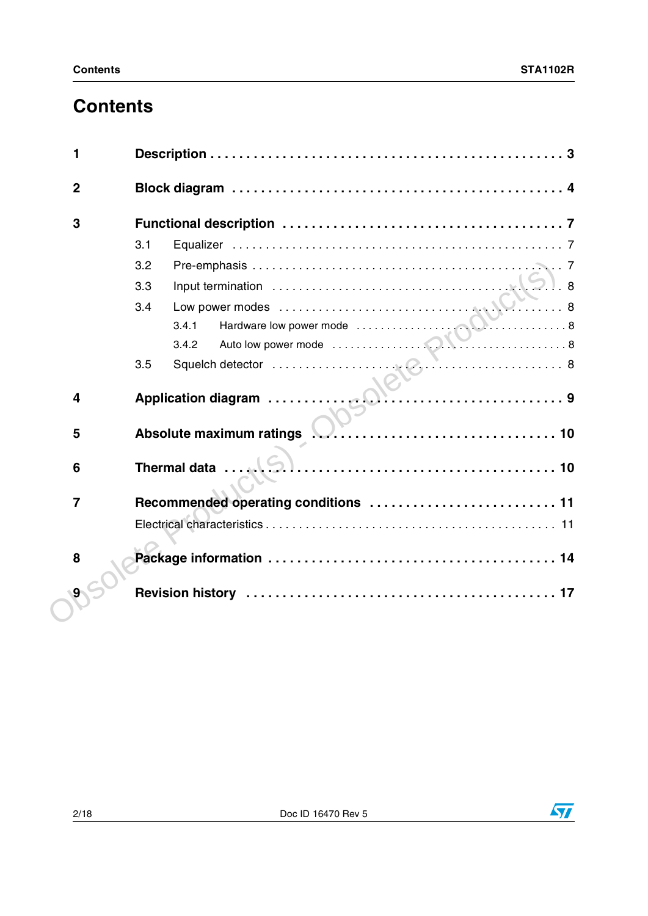# **Contents**

| 3              |                                                              |
|----------------|--------------------------------------------------------------|
|                | 3.1                                                          |
|                | 3.2                                                          |
|                | 3.3                                                          |
|                | 3.4                                                          |
|                | Hardware low power mode<br>Auto low power mode<br>8<br>3.4.1 |
|                | 3.4.2                                                        |
|                | 3.5                                                          |
| 4              |                                                              |
| 5              | Absolute maximum ratings <b>No. All Constructs</b> 10        |
| 6              | Thermal data                                                 |
| $\overline{7}$ |                                                              |
|                |                                                              |
| 8              |                                                              |
| 9              |                                                              |

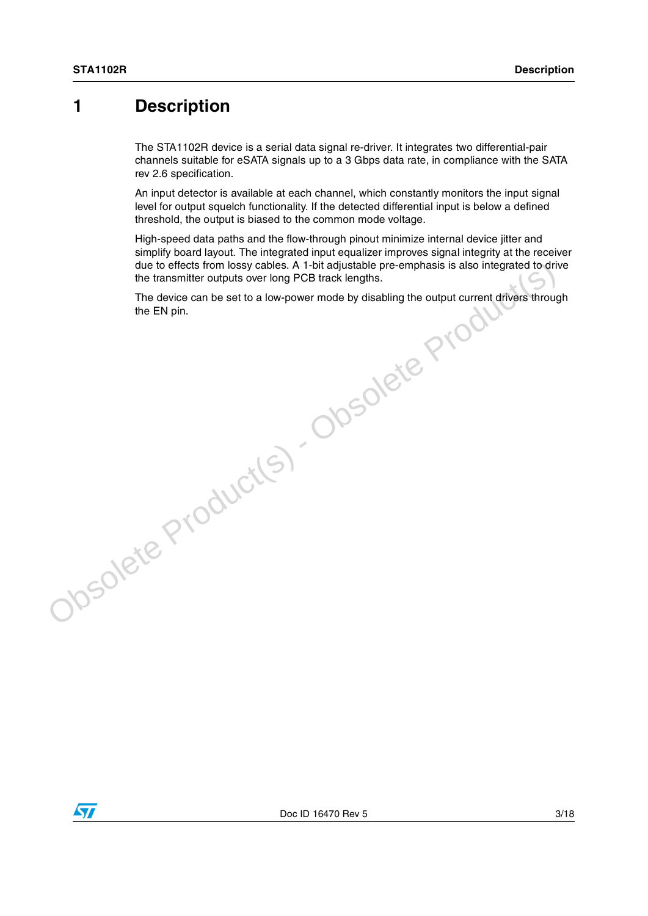### <span id="page-2-0"></span>**1 Description**

The STA1102R device is a serial data signal re-driver. It integrates two differential-pair channels suitable for eSATA signals up to a 3 Gbps data rate, in compliance with the SATA rev 2.6 specification.

An input detector is available at each channel, which constantly monitors the input signal level for output squelch functionality. If the detected differential input is below a defined threshold, the output is biased to the common mode voltage.

High-speed data paths and the flow-through pinout minimize internal device jitter and simplify board layout. The integrated input equalizer improves signal integrity at the receiver due to effects from lossy cables. A 1-bit adjustable pre-emphasis is also integrated to drive the transmitter outputs over long PCB track lengths. due to effects from lossy cables. A 1-bit adjustable pre-emphasis is also integrated to drive<br>the the manufar culture wor long PCB track lengths.<br>The device can be set to a low-power mode by disabling the output current dr

The device can be set to a low-power mode by disabling the output current drivers through

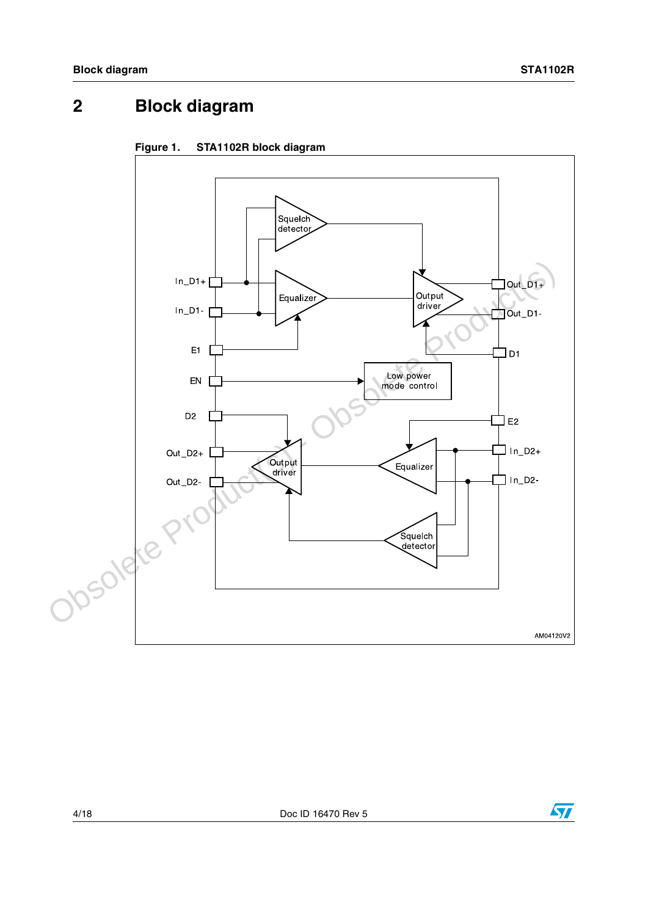# <span id="page-3-0"></span>**2 Block diagram**



### <span id="page-3-1"></span>**Figure 1. STA1102R block diagram**

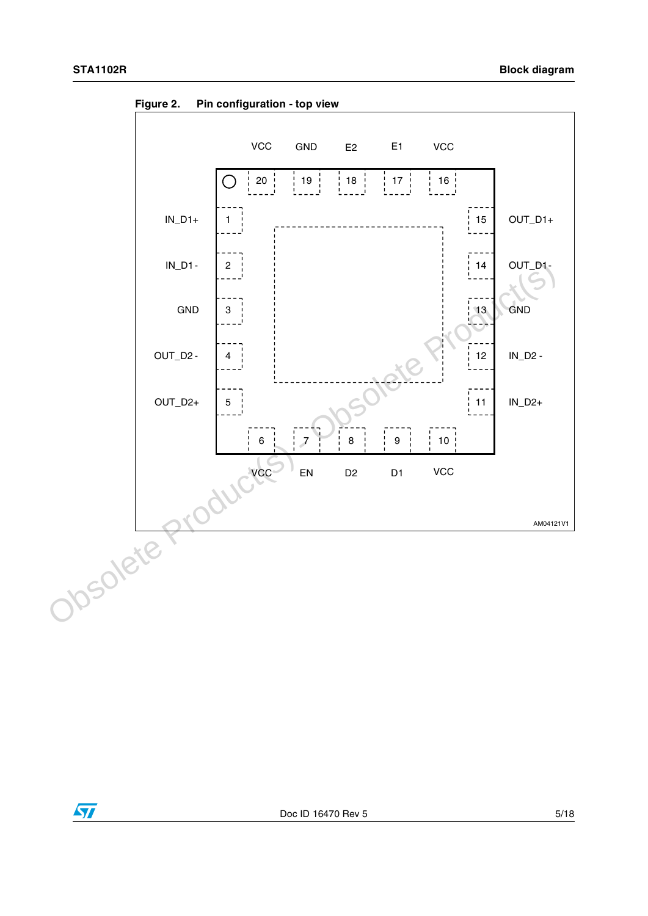

<span id="page-4-0"></span>**Figure 2. Pin configuration - top view**

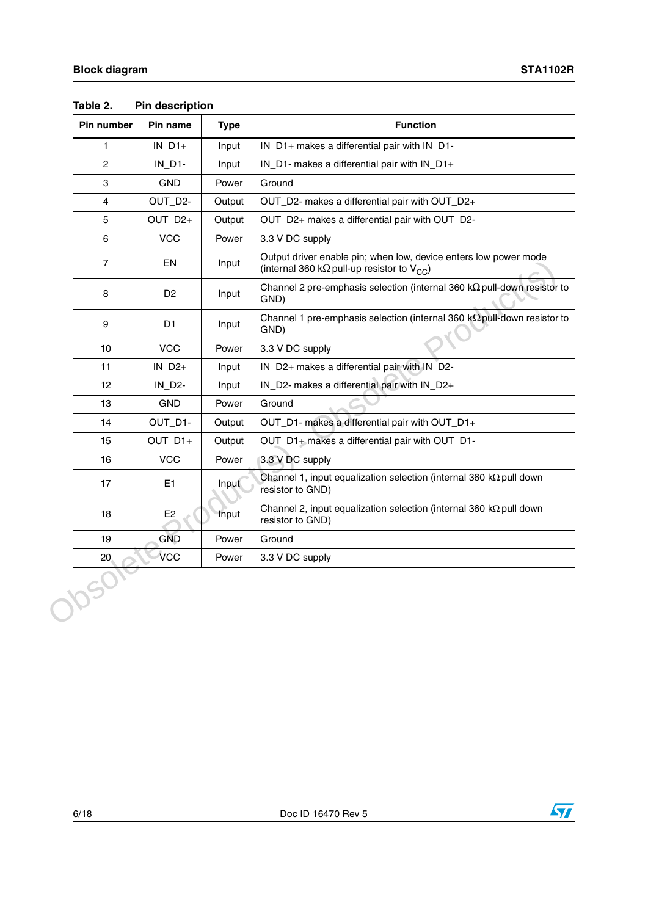| $IN_D1+$<br>$IN_D1-$<br>GND<br>OUT_D2-<br>OUT_D2+<br>VCC<br>EN<br>D <sub>2</sub> | Input<br>Input<br>Power<br>Output<br>Output<br>Power<br>Input | IN_D1+ makes a differential pair with IN_D1-<br>IN_D1- makes a differential pair with IN_D1+<br>Ground<br>OUT_D2- makes a differential pair with OUT_D2+<br>OUT_D2+ makes a differential pair with OUT_D2-<br>3.3 V DC supply<br>Output driver enable pin; when low, device enters low power mode |
|----------------------------------------------------------------------------------|---------------------------------------------------------------|---------------------------------------------------------------------------------------------------------------------------------------------------------------------------------------------------------------------------------------------------------------------------------------------------|
|                                                                                  |                                                               |                                                                                                                                                                                                                                                                                                   |
|                                                                                  |                                                               |                                                                                                                                                                                                                                                                                                   |
|                                                                                  |                                                               |                                                                                                                                                                                                                                                                                                   |
|                                                                                  |                                                               |                                                                                                                                                                                                                                                                                                   |
|                                                                                  |                                                               |                                                                                                                                                                                                                                                                                                   |
|                                                                                  |                                                               |                                                                                                                                                                                                                                                                                                   |
|                                                                                  |                                                               | (internal 360 k $\Omega$ pull-up resistor to $V_{CC}$ )                                                                                                                                                                                                                                           |
|                                                                                  | Input                                                         | Channel 2 pre-emphasis selection (internal 360 $k\Omega$ pull-down resistor to<br>GND)                                                                                                                                                                                                            |
| D <sub>1</sub>                                                                   | Input                                                         | Channel 1 pre-emphasis selection (internal 360 $k\Omega$ pull-down resistor to<br>GND)                                                                                                                                                                                                            |
| <b>VCC</b>                                                                       | Power                                                         | 3.3 V DC supply                                                                                                                                                                                                                                                                                   |
| $IN_D2+$                                                                         | Input                                                         | IN_D2+ makes a differential pair with IN_D2-                                                                                                                                                                                                                                                      |
| $IN_D2-$                                                                         | Input                                                         | IN_D2- makes a differential pair with IN_D2+                                                                                                                                                                                                                                                      |
| <b>GND</b>                                                                       | Power                                                         | Ground                                                                                                                                                                                                                                                                                            |
| OUT_D1-                                                                          | Output                                                        | OUT_D1- makes a differential pair with OUT_D1+                                                                                                                                                                                                                                                    |
| OUT_D1+                                                                          | Output                                                        | OUT_D1+ makes a differential pair with OUT_D1-                                                                                                                                                                                                                                                    |
| <b>VCC</b>                                                                       | Power                                                         | 3.3 V DC supply                                                                                                                                                                                                                                                                                   |
| E1                                                                               | Input                                                         | Channel 1, input equalization selection (internal 360 $k\Omega$ pull down<br>resistor to GND)                                                                                                                                                                                                     |
| E <sub>2</sub>                                                                   | Input                                                         | Channel 2, input equalization selection (internal 360 $k\Omega$ pull down<br>resistor to GND)                                                                                                                                                                                                     |
| <b>GND</b>                                                                       | Power                                                         | Ground                                                                                                                                                                                                                                                                                            |
| VCC                                                                              | Power                                                         | 3.3 V DC supply                                                                                                                                                                                                                                                                                   |
|                                                                                  |                                                               |                                                                                                                                                                                                                                                                                                   |

<span id="page-5-0"></span>**Table 2. Pin description**

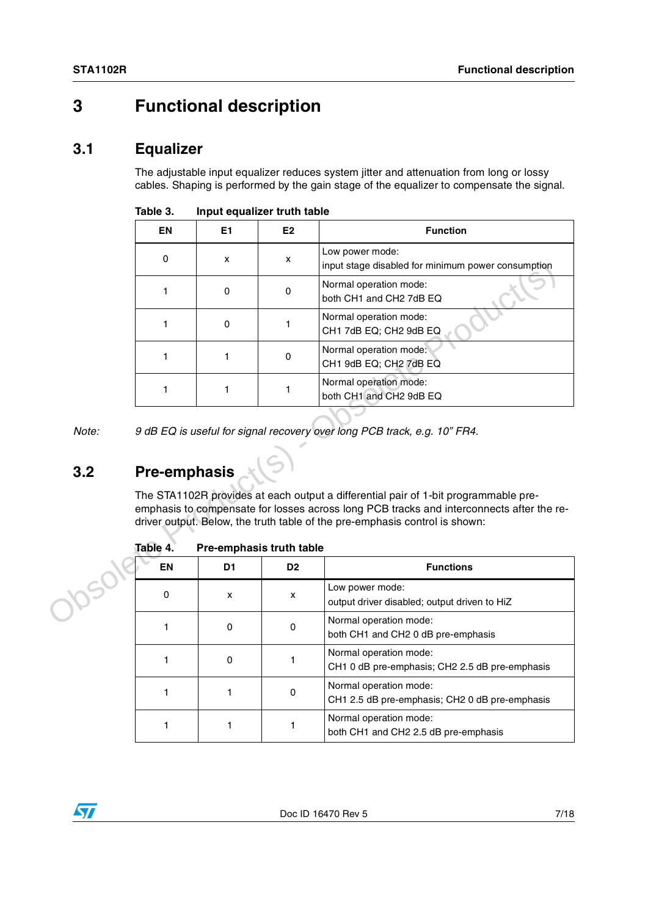### <span id="page-6-0"></span>**3 Functional description**

### <span id="page-6-1"></span>**3.1 Equalizer**

The adjustable input equalizer reduces system jitter and attenuation from long or lossy cables. Shaping is performed by the gain stage of the equalizer to compensate the signal.

|              | EN                  | E1                       | E <sub>2</sub> | <b>Function</b>                                                                                                                                                                                                                                                |
|--------------|---------------------|--------------------------|----------------|----------------------------------------------------------------------------------------------------------------------------------------------------------------------------------------------------------------------------------------------------------------|
|              | $\mathbf{0}$        | x                        | x              | Low power mode:<br>input stage disabled for minimum power consumption                                                                                                                                                                                          |
|              | 1                   | $\mathbf 0$              | 0              | Normal operation mode:<br>both CH1 and CH2 7dB EQ                                                                                                                                                                                                              |
|              | 1.                  | 0                        | 1              | Normal operation mode:<br>CH1 7dB EQ; CH2 9dB EQ                                                                                                                                                                                                               |
|              | 1.                  | 1                        | $\pmb{0}$      | Normal operation mode:<br>CH1 9dB EQ; CH2 7dB EQ                                                                                                                                                                                                               |
|              | 1                   | 1                        | 1              | Normal operation mode:<br>both CH1 and CH2 9dB EQ                                                                                                                                                                                                              |
| Note:<br>3.2 | <b>Pre-emphasis</b> |                          |                | 9 dB EQ is useful for signal recovery over long PCB track, e.g. 10" FR4.                                                                                                                                                                                       |
|              | Table 4.            | Pre-emphasis truth table |                | The STA1102R provides at each output a differential pair of 1-bit programmable pre-<br>emphasis to compensate for losses across long PCB tracks and interconnects after the re-<br>driver output. Below, the truth table of the pre-emphasis control is shown: |
|              | EN                  | D <sub>1</sub>           | D <sub>2</sub> | <b>Functions</b>                                                                                                                                                                                                                                               |
|              | 0                   | x                        | X              | Low power mode:<br>output driver disabled; output driven to HiZ                                                                                                                                                                                                |
|              | 1                   | 0                        | 0              | Normal operation mode:<br>both CH1 and CH2 0 dB pre-emphasis                                                                                                                                                                                                   |
|              |                     |                          |                | Normal operation mode:                                                                                                                                                                                                                                         |

<span id="page-6-3"></span>Table 3. **Input equalizer truth table** 

# <span id="page-6-2"></span>**3.2 Pre-emphasis**

| EN | D1       | D <sub>2</sub> | <b>Functions</b>                                                         |
|----|----------|----------------|--------------------------------------------------------------------------|
|    | X        | x              | Low power mode:<br>output driver disabled; output driven to HiZ          |
|    | 0        | 0              | Normal operation mode:<br>both CH1 and CH2 0 dB pre-emphasis             |
|    | $\Omega$ |                | Normal operation mode:<br>CH1 0 dB pre-emphasis; CH2 2.5 dB pre-emphasis |
|    |          | 0              | Normal operation mode:<br>CH1 2.5 dB pre-emphasis; CH2 0 dB pre-emphasis |
|    |          |                | Normal operation mode:<br>both CH1 and CH2 2.5 dB pre-emphasis           |

Table 4. **Pre-emphasis truth table** 

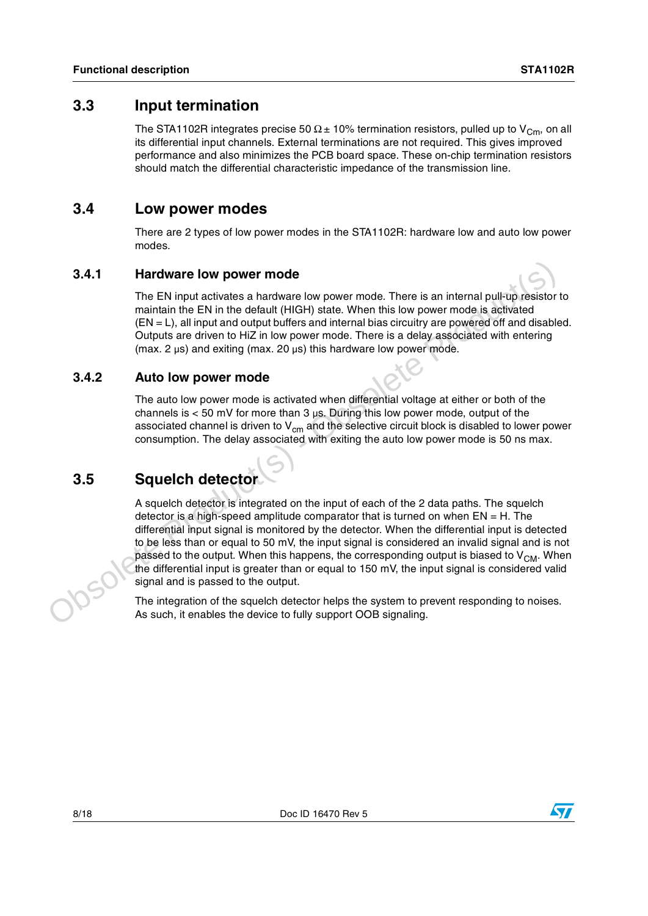### <span id="page-7-0"></span>**3.3 Input termination**

The STA1102R integrates precise 50  $\Omega$  ± 10% termination resistors, pulled up to V<sub>Cm</sub>, on all its differential input channels. External terminations are not required. This gives improved performance and also minimizes the PCB board space. These on-chip termination resistors should match the differential characteristic impedance of the transmission line.

### <span id="page-7-1"></span>**3.4 Low power modes**

There are 2 types of low power modes in the STA1102R: hardware low and auto low power modes.

### <span id="page-7-2"></span>**3.4.1 Hardware low power mode**

The EN input activates a hardware low power mode. There is an internal pull-up resistor to maintain the EN in the default (HIGH) state. When this low power mode is activated (EN = L), all input and output buffers and internal bias circuitry are powered off and disabled. Outputs are driven to HiZ in low power mode. There is a delay associated with entering (max. 2  $\mu$ s) and exiting (max. 20  $\mu$ s) this hardware low power mode.

### <span id="page-7-3"></span>**3.4.2 Auto low power mode**

The auto low power mode is activated when differential voltage at either or both of the channels is  $<$  50 mV for more than 3  $\mu$ s. During this low power mode, output of the associated channel is driven to  $V_{cm}$  and the selective circuit block is disabled to lower power consumption. The delay associated with exiting the auto low power mode is 50 ns max.

### <span id="page-7-4"></span>**3.5 Squelch detector**

A squelch detector is integrated on the input of each of the 2 data paths. The squelch detector is a high-speed amplitude comparator that is turned on when  $EN = H$ . The differential input signal is monitored by the detector. When the differential input is detected to be less than or equal to 50 mV, the input signal is considered an invalid signal and is not passed to the output. When this happens, the corresponding output is biased to  $V_{CM}$ . When the differential input is greater than or equal to 150 mV, the input signal is considered valid signal and is passed to the output. **As such than the device to fully such** The Dimagnon of the Bin internal pull-up resistor maintain the EN in the detaut (HIGH) state. When this low power mode, is activated (HIGH) state when the HiGH in the detaut (HIGH)

The integration of the squelch detector helps the system to prevent responding to noises.

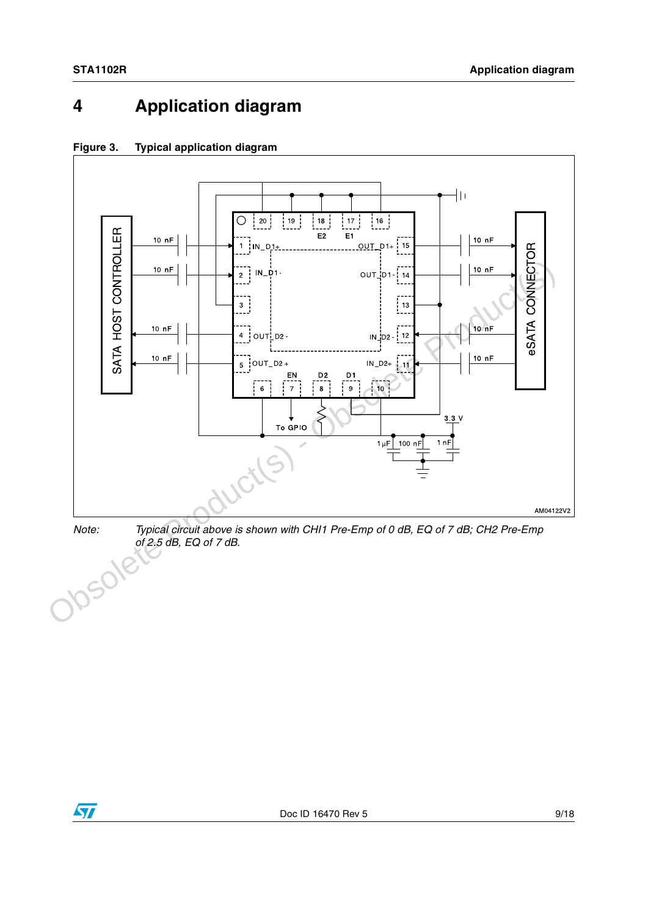# <span id="page-8-0"></span>**4 Application diagram**



<span id="page-8-1"></span>**Figure 3. Typical application diagram**

*Note:* Typical circuit above is shown with CHI1 Pre-Emp of 0 dB, EQ of 7 dB; CH2 Pre-Emp of 2.5 dB, EQ of 7 dB.<br> *CONTRACTERS of 2.5 dB, EQ of 7 dB.*

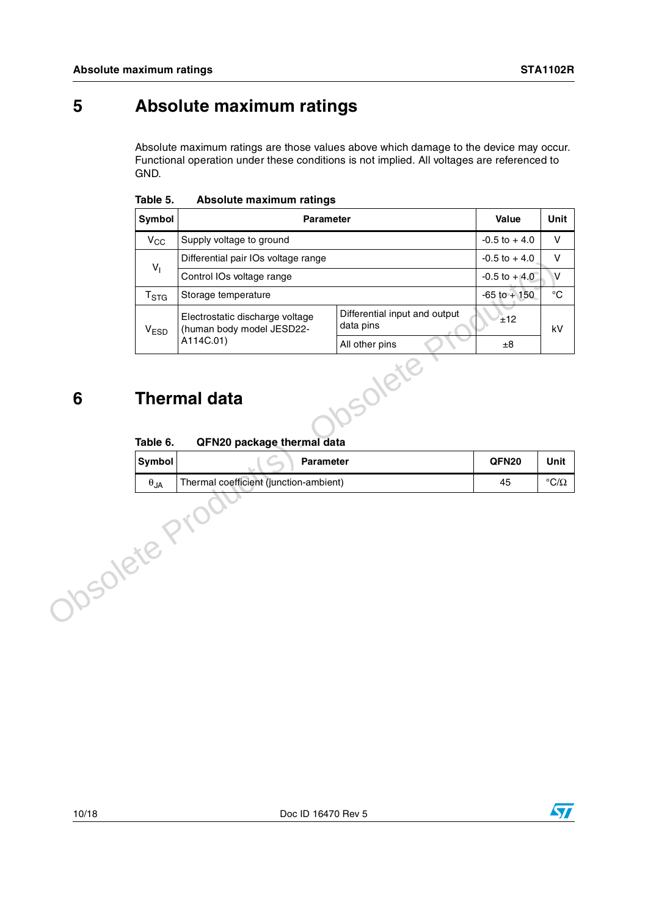## <span id="page-9-0"></span>**5 Absolute maximum ratings**

Absolute maximum ratings are those values above which damage to the device may occur. Functional operation under these conditions is not implied. All voltages are referenced to GND.

<span id="page-9-2"></span>

| Table 5. | Absolute maximum ratings |  |
|----------|--------------------------|--|
|          |                          |  |

|              | Symbol                 | <b>Parameter</b>                                             |                                            | Value            | Unit               |
|--------------|------------------------|--------------------------------------------------------------|--------------------------------------------|------------------|--------------------|
|              | $V_{CC}$               | Supply voltage to ground                                     |                                            | $-0.5$ to $+4.0$ | V                  |
|              | V <sub>1</sub>         | Differential pair IOs voltage range                          |                                            | $-0.5$ to $+4.0$ | V                  |
|              |                        | Control IOs voltage range                                    |                                            | $-0.5$ to $+4.0$ | V                  |
|              | T <sub>STG</sub>       | Storage temperature                                          |                                            | $-65$ to $+150$  | $^{\circ}{\rm C}$  |
|              | V <sub>ESD</sub>       | Electrostatic discharge voltage<br>(human body model JESD22- | Differential input and output<br>data pins | ±12              | kV                 |
|              |                        | A114C.01)                                                    | All other pins                             | ±8               |                    |
| 6            | Table 6.               | <b>Thermal data</b><br>QFN20 package thermal data            | Solete                                     |                  |                    |
|              | Symbol                 | <b>Parameter</b>                                             |                                            | QFN20            | Unit               |
|              | $\theta_{\mathsf{JA}}$ | Thermal coefficient (junction-ambient)                       |                                            | 45               | $^{\circ}C/\Omega$ |
| Josolete Pri |                        |                                                              |                                            |                  |                    |

### <span id="page-9-1"></span>**6 Thermal data**

#### Table 6. **QFN20 package thermal data**

| <b>Symbol</b> | <b>Parameter</b>                       | QFN <sub>20</sub> | Unit                   |
|---------------|----------------------------------------|-------------------|------------------------|
| ∪JA           | Thermal coefficient (junction-ambient) | 45                | $\rm ^{\circ}C/\Omega$ |

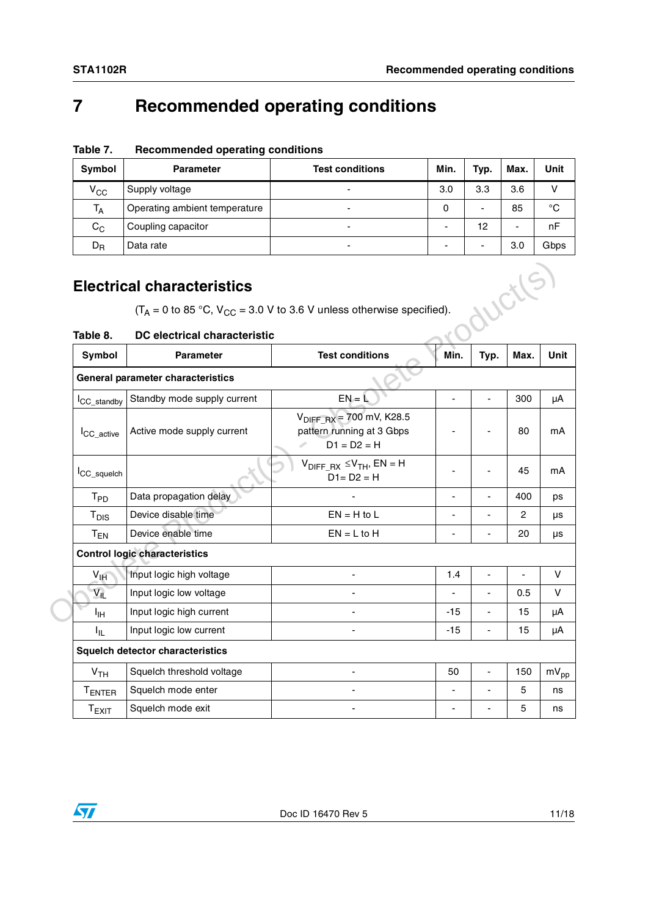## <span id="page-10-0"></span>**7 Recommended operating conditions**

| Symbol       | <b>Parameter</b>              | <b>Test conditions</b> | Min.                     | Typ. | Max. | Unit          |
|--------------|-------------------------------|------------------------|--------------------------|------|------|---------------|
| $V_{\rm CC}$ | Supply voltage                | -                      | 3.0                      | 3.3  | 3.6  | $\mathcal{L}$ |
| $T_A$        | Operating ambient temperature | -                      | 0                        | -    | 85   | $^{\circ}C$   |
| $C_C$        | Coupling capacitor            | -                      | $\overline{\phantom{0}}$ | 12   |      | nF            |
| $D_{R}$      | Data rate                     | -                      | ۰                        |      | 3.0  | Gbps          |

**Table 7. Recommended operating conditions**

### <span id="page-10-1"></span>**Electrical characteristics**

#### <span id="page-10-2"></span>**Table 8. DC electrical characteristic**

| Table 8.                | DC electrical characteristic            | $(T_A = 0 \text{ to } 85 \text{ °C}, V_{CC} = 3.0 \text{ V to } 3.6 \text{ V unless otherwise specified}).$ |                | Worls          |                |
|-------------------------|-----------------------------------------|-------------------------------------------------------------------------------------------------------------|----------------|----------------|----------------|
| Symbol                  | <b>Parameter</b>                        | <b>Test conditions</b>                                                                                      | Min.           | Typ.           | Max.           |
|                         | General parameter characteristics       |                                                                                                             |                |                |                |
| <sup>I</sup> CC_standby | Standby mode supply current             | $EN = I$                                                                                                    | $\blacksquare$ |                | 300            |
| <sup>I</sup> CC active  | Active mode supply current              | $V_{\text{DIFF-RX}} = 700 \text{ mV}$ , K28.5<br>pattern running at 3 Gbps<br>$D1 = D2 = H$                 |                |                | 80             |
| I <sub>CC_squelch</sub> |                                         | $V_{DIFF RX} \leq V_{TH}$ , EN = H<br>$D1 = D2 = H$                                                         |                |                | 45             |
| $T_{PD}$                | Data propagation delay                  |                                                                                                             | ä,             |                | 400            |
| $T_{DIS}$               | Device disable time                     | $EN = H$ to L                                                                                               |                |                | 2              |
| $T_{EN}$                | Device enable time                      | $EN = L$ to $H$                                                                                             |                |                | 20             |
|                         | <b>Control logic characteristics</b>    |                                                                                                             |                |                |                |
| $V_{\text{IH}}$         | Input logic high voltage                |                                                                                                             | 1.4            |                | $\blacksquare$ |
| $V_{IL}$                | Input logic low voltage                 |                                                                                                             | ÷,             | $\blacksquare$ | 0.5            |
| ŀщ                      | Input logic high current                |                                                                                                             | $-15$          |                | 15             |
| I <sub>IL</sub>         | Input logic low current                 |                                                                                                             | $-15$          |                | 15             |
|                         | <b>Squelch detector characteristics</b> |                                                                                                             |                |                |                |
| V <sub>TH</sub>         | Squelch threshold voltage               |                                                                                                             | 50             |                | 150            |
| <b>TENTER</b>           | Squelch mode enter                      |                                                                                                             | ÷              |                | 5              |
| $T_{EXIT}$              | Squelch mode exit                       |                                                                                                             |                |                | 5              |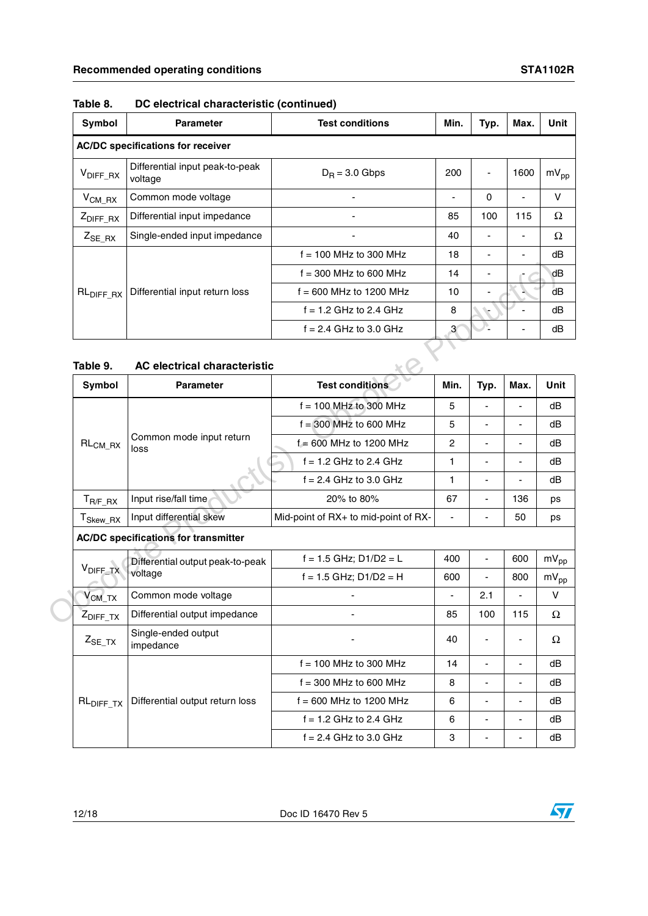| Symbol                | <b>Parameter</b>                           | <b>Test conditions</b>    | Min. | Typ.     | Max. | Unit      |
|-----------------------|--------------------------------------------|---------------------------|------|----------|------|-----------|
|                       | <b>AC/DC specifications for receiver</b>   |                           |      |          |      |           |
| $V_{\text{DIFF\_RX}}$ | Differential input peak-to-peak<br>voltage | $D_R = 3.0$ Gbps          | 200  | ٠        | 1600 | $mV_{pp}$ |
| $V_{CM\_RX}$          | Common mode voltage                        |                           | ٠    | $\Omega$ |      | v         |
| $Z_{\text{DIFF\_RX}}$ | Differential input impedance               |                           | 85   | 100      | 115  | Ω         |
| $Z_{SE_R}$ $_{RX}$    | Single-ended input impedance               |                           | 40   |          |      | Ω         |
|                       |                                            | $f = 100$ MHz to 300 MHz  | 18   |          |      | dB        |
|                       |                                            | $f = 300$ MHz to 600 MHz  | 14   |          |      | dB        |
| RL <sub>DIFF_RX</sub> | Differential input return loss             | $f = 600$ MHz to 1200 MHz | 10   |          |      | dB        |
|                       |                                            | $f = 1.2$ GHz to 2.4 GHz  | 8    |          |      | dB        |
|                       |                                            | $f = 2.4$ GHz to 3.0 GHz  | 3    |          |      | dB        |
|                       |                                            |                           |      |          |      |           |
| Table 9.              | <b>AC electrical characteristic</b>        |                           |      |          |      |           |
|                       |                                            |                           |      |          |      |           |

### **Table 8. DC electrical characteristic (continued)**

#### **Table 9. AC electrical characteristic**

|                       |                                             | $f = 300$ MHz to 600 MHz             | 14                       |                                               |      | dΒ          |
|-----------------------|---------------------------------------------|--------------------------------------|--------------------------|-----------------------------------------------|------|-------------|
| RL <sub>DIFF_RX</sub> | Differential input return loss              | $f = 600$ MHz to 1200 MHz            | 10                       |                                               |      | dB          |
|                       |                                             | $f = 1.2$ GHz to 2.4 GHz             | 8                        |                                               |      | dB          |
|                       |                                             | $f = 2.4$ GHz to 3.0 GHz             | $\mathbf{3}$             |                                               |      | dB          |
|                       |                                             |                                      |                          |                                               |      |             |
| Table 9.              | <b>AC electrical characteristic</b>         |                                      |                          |                                               |      |             |
| <b>Symbol</b>         | <b>Parameter</b>                            | <b>Test conditions</b>               | Min.                     | Typ.                                          | Max. | <b>Unit</b> |
|                       |                                             | $f = 100$ MHz to 300 MHz             | 5                        | $\blacksquare$                                | ä,   | dB          |
| $RL_{CM\_RX}$         | Common mode input return<br>loss            | $f = 300$ MHz to 600 MHz             | 5                        | $\blacksquare$                                | ÷,   | dB          |
|                       |                                             | $f = 600$ MHz to 1200 MHz            | $\overline{2}$           | $\overline{\phantom{a}}$                      | ÷,   | dB          |
|                       |                                             | $f = 1.2$ GHz to 2.4 GHz             | $\mathbf{1}$             |                                               |      | dB          |
|                       |                                             | $f = 2.4$ GHz to 3.0 GHz             | $\mathbf{1}$             | $\blacksquare$<br>÷.<br>136<br>$\blacksquare$ | dB   |             |
| $T_{R/F\_RX}$         | Input rise/fall time                        | 20% to 80%                           | 67                       |                                               |      | ps          |
| $T_{Skew\_RX}$        | Input differential skew                     | Mid-point of RX+ to mid-point of RX- | $\overline{\phantom{a}}$ | $\blacksquare$                                | 50   | ps          |
|                       | <b>AC/DC specifications for transmitter</b> |                                      |                          |                                               |      |             |
|                       | Differential output peak-to-peak            | $f = 1.5$ GHz; D1/D2 = L             | 400                      | $\blacksquare$                                | 600  | $mV_{pp}$   |
|                       | voltage                                     | $f = 1.5$ GHz; D1/D2 = H             | 600                      | $\blacksquare$                                | 800  | $mV_{pp}$   |
| $V_{CM_TX}$           | Common mode voltage                         |                                      | $\blacksquare$           | 2.1                                           | ä,   | V           |
| Z <sub>DIFF_TX</sub>  | Differential output impedance               |                                      | 85                       | 100                                           | 115  | $\Omega$    |
| $Z_{SE_TX}$           | Single-ended output<br>impedance            |                                      | 40                       |                                               |      | Ω           |
|                       |                                             | $f = 100$ MHz to 300 MHz             | 14                       |                                               |      | dB          |
|                       |                                             | $f = 300$ MHz to 600 MHz             | 8                        | $\blacksquare$                                | ä,   | dB          |
| RL <sub>DIFF_TX</sub> | Differential output return loss             | $f = 600$ MHz to 1200 MHz            | 6                        | $\blacksquare$                                | ÷,   | dB          |
| V <sub>DIFF_TX</sub>  |                                             | $f = 1.2$ GHz to 2.4 GHz             | 6                        | $\blacksquare$                                | ä,   | dB          |
|                       |                                             | $f = 2.4$ GHz to 3.0 GHz             | 3                        |                                               |      | dB          |
|                       |                                             |                                      |                          |                                               |      |             |

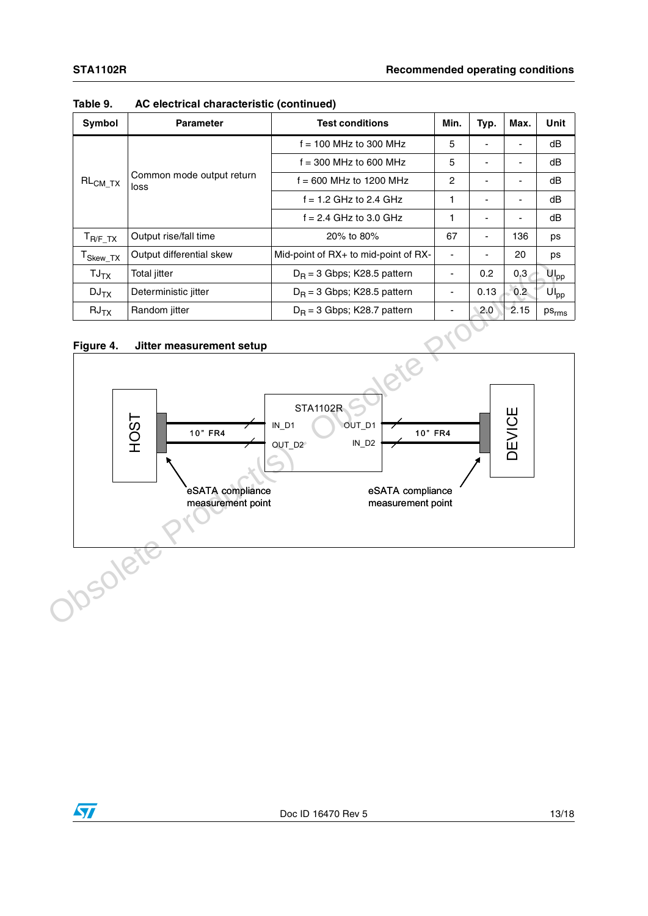| Symbol                           | <b>Parameter</b>                  | <b>Test conditions</b>                      | Min.                     | Typ.                     | Max. | Unit            |
|----------------------------------|-----------------------------------|---------------------------------------------|--------------------------|--------------------------|------|-----------------|
| $\mathsf{RL}_{\mathsf{CM\_TX}}$  |                                   | $f = 100$ MHz to 300 MHz                    | 5                        |                          |      | dB              |
|                                  | Common mode output return<br>loss | $f = 300$ MHz to 600 MHz                    | 5                        |                          |      | dB              |
|                                  |                                   | $\overline{c}$<br>$f = 600$ MHz to 1200 MHz |                          |                          |      | dB              |
|                                  |                                   | $f = 1.2$ GHz to 2.4 GHz                    | 1                        |                          |      | dB              |
|                                  |                                   | $f = 2.4$ GHz to 3.0 GHz                    |                          |                          |      | dB              |
| $T_{R/F\_TX}$                    | Output rise/fall time             | 20% to 80%                                  | 67                       | $\overline{\phantom{a}}$ | 136  | ps              |
| $\mathsf{T}_{\mathsf{Skew\_TX}}$ | Output differential skew          | Mid-point of $RX+$ to mid-point of $RX-$    | $\overline{\phantom{a}}$ |                          | 20   | ps              |
| $TJ_{TX}$                        | <b>Total jitter</b>               | $D_R$ = 3 Gbps; K28.5 pattern               | ٠                        | 0.2                      | 0.3  | U <sub>pp</sub> |
| DJ <sub>TX</sub>                 | Deterministic jitter              | $D_B$ = 3 Gbps; K28.5 pattern               | ۰                        | 0.13                     | 0.2  | $UI_{pp}$       |
| $RJ_{TX}$                        | Random jitter                     | $D_R = 3$ Gbps; K28.7 pattern               | ۰                        | 2.0                      | 2.15 | $ps_{rms}$      |

#### **Table 9. AC electrical characteristic (continued)**

#### **Figure 4. Jitter measurement setup**



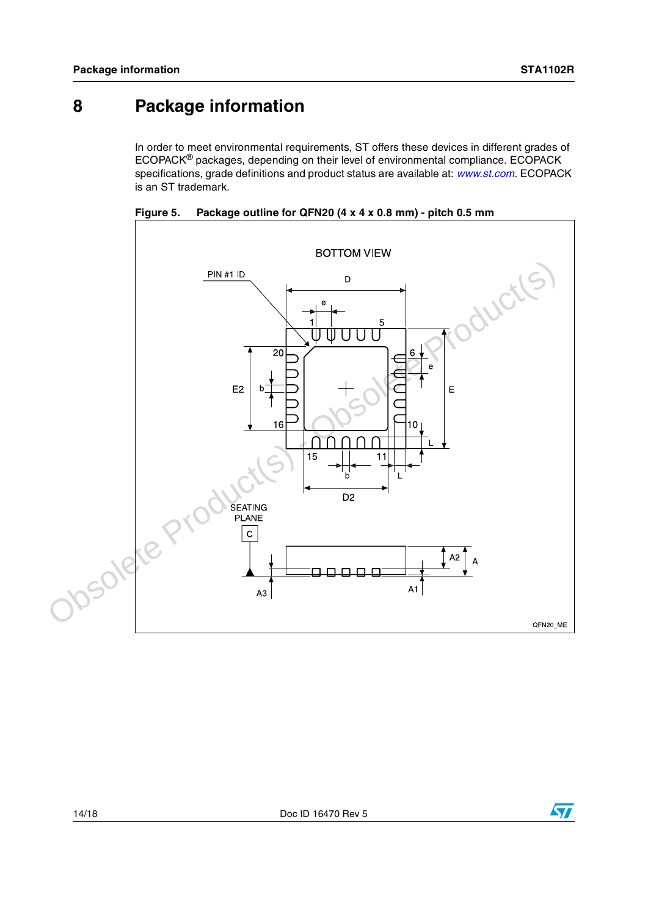### <span id="page-13-0"></span>**8 Package information**

In order to meet environmental requirements, ST offers these devices in different grades of ECOPACK® packages, depending on their level of environmental compliance. ECOPACK specifications, grade definitions and product status are available at: *[www.st.com](http://www.st.com)*. ECOPACK is an ST trademark.



<span id="page-13-1"></span>**Figure 5. Package outline for QFN20 (4 x 4 x 0.8 mm) - pitch 0.5 mm**

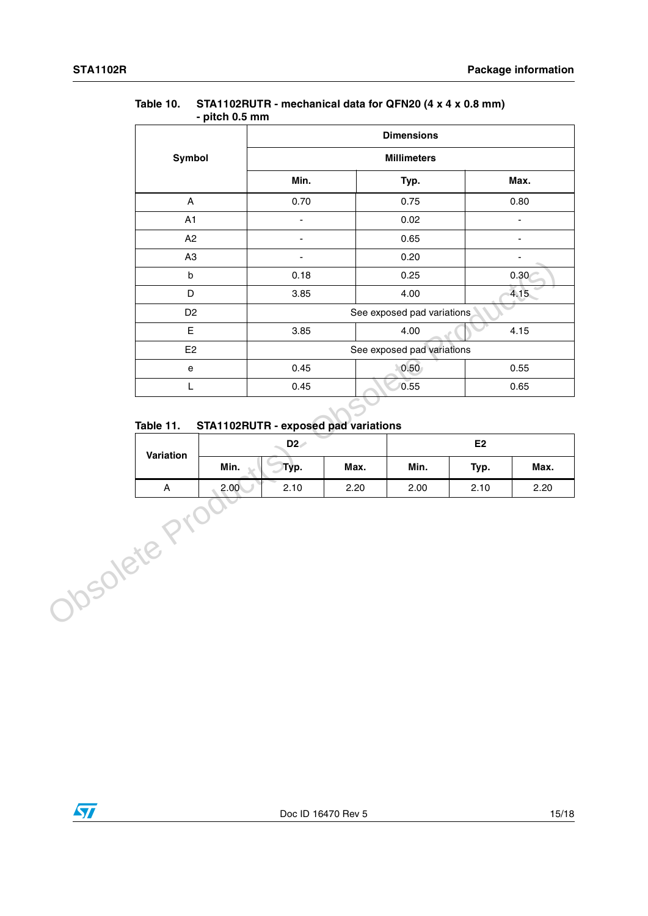|                        |      | - pitch v.ə mm                             |      |                            |      |                          |
|------------------------|------|--------------------------------------------|------|----------------------------|------|--------------------------|
|                        |      | <b>Dimensions</b>                          |      |                            |      |                          |
| Symbol                 |      | <b>Millimeters</b>                         |      |                            |      |                          |
|                        |      | Min.                                       |      | Typ.                       | Max. |                          |
| $\mathsf{A}$           |      | 0.70                                       |      | 0.75                       |      | 0.80                     |
| A1                     |      | ÷,                                         |      | 0.02                       |      | $\blacksquare$           |
| A2                     |      | $\blacksquare$                             |      | 0.65                       |      | $\blacksquare$           |
| A <sub>3</sub>         |      | $\blacksquare$                             |      | 0.20                       |      | $\overline{\phantom{a}}$ |
| $\mathsf b$            |      | 0.18                                       |      | 0.25                       |      | 0.30<                    |
| $\mathsf D$            |      | 3.85                                       |      | 4.00                       | 4.15 |                          |
| D <sub>2</sub>         |      |                                            |      | See exposed pad variations |      |                          |
| E.                     |      | 3.85                                       | 4.00 |                            | 4.15 |                          |
| E2                     |      | See exposed pad variations                 |      |                            |      |                          |
| e                      |      | 0.45                                       |      | 0.50<br>0.55               |      |                          |
| L                      |      | 0.45                                       |      | 0.55<br>0.65               |      |                          |
| Table 11.<br>Variation |      | STA1102RUTR - exposed pad variations<br>D2 |      | E2                         |      |                          |
|                        | Min. | Typ.                                       | Max. | Min.                       | Typ. | Max.                     |
|                        |      |                                            |      |                            |      |                          |

#### **Table 10. STA1102RUTR - mechanical data for QFN20 (4 x 4 x 0.8 mm) - pitch 0.5 mm**

### <span id="page-14-0"></span>**Table 11. STA1102RUTR - exposed pad variations**

| Variation  | D <sub>2</sub> |      |      | E <sub>2</sub> |      |      |  |
|------------|----------------|------|------|----------------|------|------|--|
|            | Min.           | Typ. | Max. | Min.           | Typ. | Max. |  |
| $\sqrt{ }$ | 2.00           | 2.10 | 2.20 | 2.00           | 2.10 | 2.20 |  |

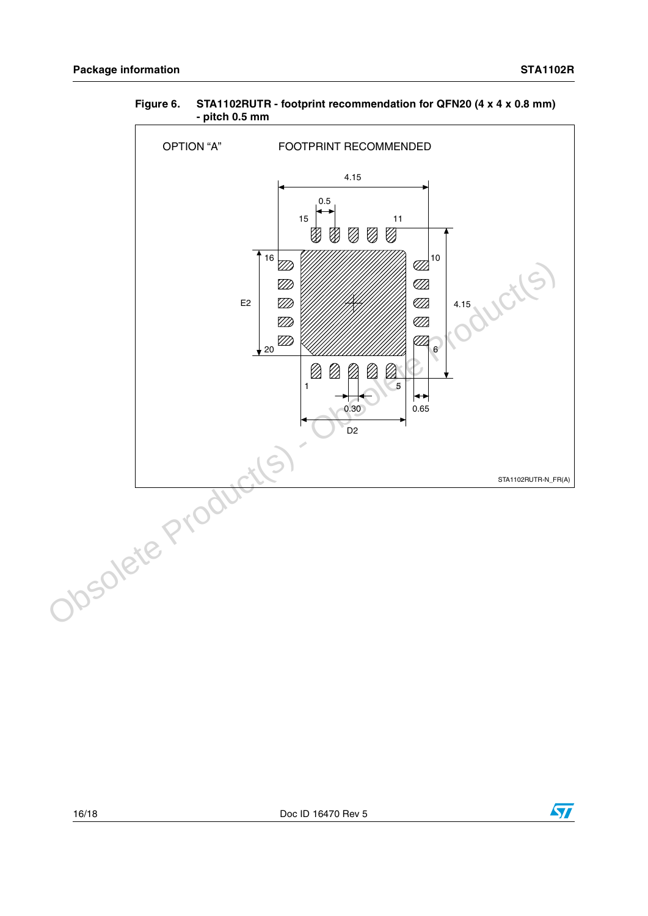

#### <span id="page-15-0"></span>**Figure 6. STA1102RUTR - footprint recommendation for QFN20 (4 x 4 x 0.8 mm) - pitch 0.5 mm**

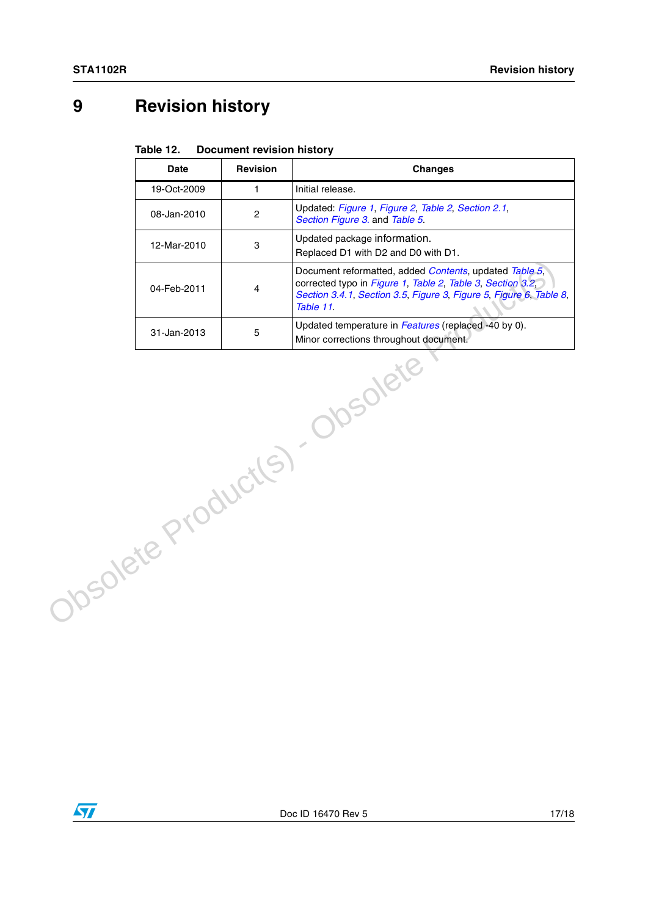# <span id="page-16-0"></span>**9 Revision history**

| Table 12. | <b>Document revision history</b> |  |
|-----------|----------------------------------|--|
|-----------|----------------------------------|--|

|                                 | <b>Date</b> | <b>Revision</b>         | <b>Changes</b>                                                                                                                                                                                          |  |  |
|---------------------------------|-------------|-------------------------|---------------------------------------------------------------------------------------------------------------------------------------------------------------------------------------------------------|--|--|
|                                 | 19-Oct-2009 | $\mathbf{1}$            | Initial release.                                                                                                                                                                                        |  |  |
|                                 | 08-Jan-2010 | $\overline{c}$          | Updated: Figure 1, Figure 2, Table 2, Section 2.1,<br>Section Figure 3. and Table 5.                                                                                                                    |  |  |
|                                 | 12-Mar-2010 | 3                       | Updated package information.<br>Replaced D1 with D2 and D0 with D1.                                                                                                                                     |  |  |
|                                 | 04-Feb-2011 | $\overline{\mathbf{4}}$ | Document reformatted, added Contents, updated Table 5,<br>corrected typo in Figure 1, Table 2, Table 3, Section 3.2,<br>Section 3.4.1, Section 3.5, Figure 3, Figure 5, Figure 6, Table 8,<br>Table 11. |  |  |
|                                 | 31-Jan-2013 | 5                       | Updated temperature in Features (replaced -40 by 0).<br>Minor corrections throughout document.                                                                                                          |  |  |
| DSOlete<br>Obsolete Product(s). |             |                         |                                                                                                                                                                                                         |  |  |

 $\sqrt{2}$